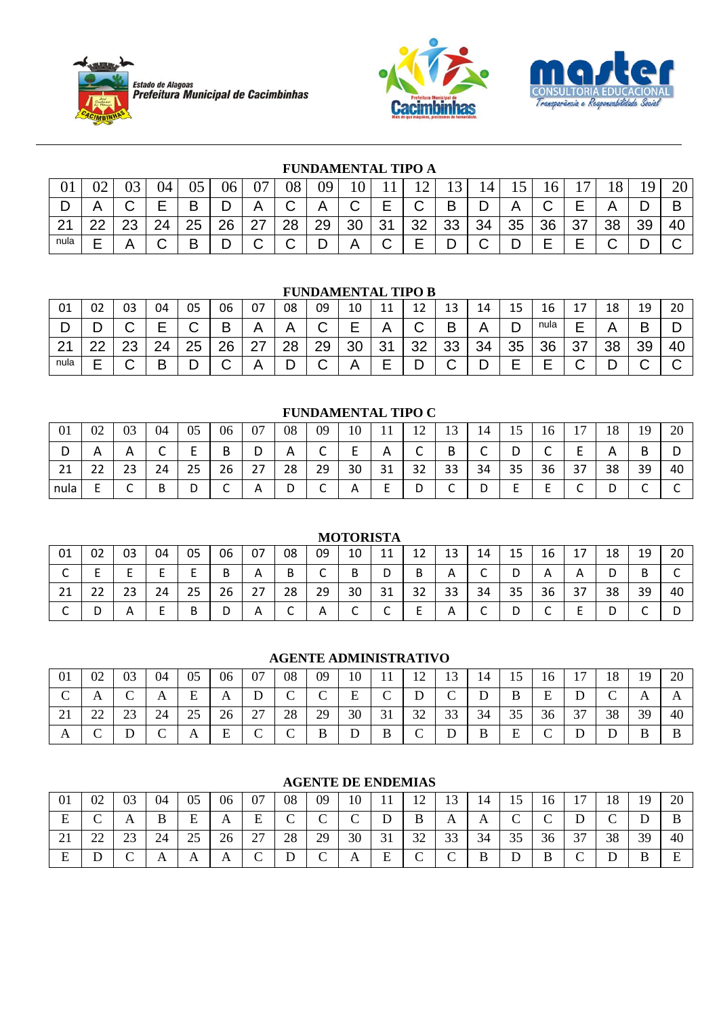





## **FUNDAMENTAL TIPO A**

| 01      | ◡▱ |             | ገ⁄     | $\Omega$<br>UJ | 06       | 07        | 08     | 09     | 1 $\Omega$<br>⊥ ∪ |         |          | . .      |        |    | r      | -  | $\circ$<br>$\circ$ |    | $20^{\circ}$<br>∠∪ |
|---------|----|-------------|--------|----------------|----------|-----------|--------|--------|-------------------|---------|----------|----------|--------|----|--------|----|--------------------|----|--------------------|
|         |    | $\sim$<br>ັ | -      | ∍              | ∽        | $\forall$ |        |        | $\sim$<br>ັ       | –       | $\sim$   | D<br>c   | r      |    |        |    |                    |    | B                  |
| ᠬ<br>∠⊣ | ົ  | ົ<br>∼      | $\sim$ | 25             | 2R<br>∠∪ | - 27      | ററ     | 29     | 30                | 21<br>ັ | າາ<br>ັ້ | າາ<br>ບບ | 34     | 35 | 36     | 37 | 38                 | 39 | 40                 |
| nula    |    |             |        | ∍              | ∽        | $\sim$    | ⌒<br>ັ | ∽<br>┕ |                   | ⌒<br>ັ  | -<br>_   | ــ       | ⌒<br>ີ | ∽  | -<br>- |    |                    |    | ⌒                  |

#### **FUNDAMENTAL TIPO B**

| 01                 | ÜŹ      | 03      | 04 | 05       | 06       | 07              | 08      | 09 | 10     | 44<br><b>. .</b> | ∽<br>--  | $\sim$<br>∸ | 14 | $\sim$<br>ᅩ | $\sim$<br>Ίb | <u>. на с</u> | 18 | 19 | 20 |
|--------------------|---------|---------|----|----------|----------|-----------------|---------|----|--------|------------------|----------|-------------|----|-------------|--------------|---------------|----|----|----|
|                    |         |         | _  | ∽        | D        |                 |         |    | _<br>_ |                  | ⌒        | В           |    |             | nula         | -<br>۰        |    | ∽  | ∽  |
| n,<br>$\epsilon$ . | ົ<br>-- | ~~<br>∼ | ົາ | つに<br>∠J | วค<br>∠∪ | ົ<br><u>_ 1</u> | ററ<br>∼ | 29 | 30     | ີ<br>◡           | nn.<br>ັ | າາ<br>vv.   | 34 | 35          | 36           | ິ             | 38 | 39 | 40 |
| nula               | ١       |         | ◡  | -<br>◡   | ⌒<br>◡   |                 |         |    |        | _<br>_           | -        | ⌒<br>∼      | -  | -<br>_      | -            | ⌒             |    | -  | ີ  |

#### **FUNDAMENTAL TIPO C**

| 01        | 02       | 03      | 04     | 05             | 06 | 07           | 08           | 09     | 10             | $\mathbf{r}$ | $\sim$<br><b>I</b> | 1 <sub>2</sub><br>⊥ັ | 14     | -<br>⊥ັ | 16     | —<br>. .           | 18 | 19 | 20 |
|-----------|----------|---------|--------|----------------|----|--------------|--------------|--------|----------------|--------------|--------------------|----------------------|--------|---------|--------|--------------------|----|----|----|
| D         |          | Α       | ∽<br>∼ |                | B  | ⌒<br>ັ       | $\mathsf{A}$ | ∽<br>ັ |                | A            | ∽<br>◡             | D<br>◡               | ∽<br>◡ | ∽<br>◡  | ∽<br>֊ | −                  | 宀  | ັ  |    |
| ີ 1<br>ᅀᅩ | ີ<br>ے ے | ີ<br>دے | 24     | <u>_</u><br>25 | 26 | 27           | 28           | 29     | 30             | 21<br>ᇰᆂ     | $\sim$<br>ے ر      | 33                   | 34     | 35      | 36     | $\sim$<br><b>J</b> | 38 | 39 | 40 |
| nula      |          | ∽<br>֊  | ח<br>ь | ັ              | ∽  | $\mathsf{H}$ | ◡            | ֊      | $\overline{A}$ | -            |                    | ∽<br>∼               | ⌒<br>◡ | -       |        | ∽<br>◡             | ັ  |    |    |

#### 01 | 02 | 03 | 04 | 05 | 06 | 07 | 08 | 09 | 10 | 11 | 12 | 13 | 14 | 15 | 16 | 17 | 18 | 19 | 20 C | E | E | E | E | B | A | B | C | B | D | B | A | C | D | A  $\mathsf{C}$  $A$  | D | B | C 21 | 22 | 23 | 24 | 25 | 26 | 27 | 28 | 29 | 30 | 31 | 32 | 33 | 34 | 35 | 36 | 37 | 38 | 39 | 40 C | D | A | E | B | D | A | C | A | C | C | E | A | C | D | C | E | D | C | D

|          |                   |          |        |           |    |                 | AULINIL ADMINISHATITU |               |    |             |                       |    |    |    |             |        |    |         |                |
|----------|-------------------|----------|--------|-----------|----|-----------------|-----------------------|---------------|----|-------------|-----------------------|----|----|----|-------------|--------|----|---------|----------------|
| 01       | 02                | 03       | 04     | 05        | 06 | 07              | 08                    | 09            | 10 | <b>TT</b>   | 1 $\cap$<br>∸         | ⊥ື | 14 | ⊥ັ | 16          |        | 18 | ۱۵      | 20             |
| ◡        | $\mathbf{A}$      | ◡        | A      | F<br>نلا  | A  | ◡               | ⌒<br>◡                | ◡             | F  | ⌒           |                       |    | D  | B  | E           | P      | ◡  | A       | $\overline{1}$ |
| $\sim$ 1 | $\mathbf{A}$<br>∸ | ີ<br>ل ک | 24     | つく<br>ر ے | 26 | 27              | 28                    | 29            | 30 | $\bigcap$ 1 | $\mathfrak{D}$<br>ے ر | 33 | 34 | 35 | 36          | $\sim$ | 38 | 30      | 40             |
| A        |                   |          | $\sim$ | $\Delta$  | E  | $\sqrt{ }$<br>◡ | ⌒<br>◡                | <b>D</b><br>υ | ◡  | D<br>D      | ◡                     |    | B  | E  | $\sim$<br>◡ | P      |    | D.<br>◡ | ш              |

|          |             |     |    |          |    |                                    |        |            | <b>AGENTE DE ENDEMIAS</b> |          |               |                     |    |                          |     |             |            |    |    |
|----------|-------------|-----|----|----------|----|------------------------------------|--------|------------|---------------------------|----------|---------------|---------------------|----|--------------------------|-----|-------------|------------|----|----|
| 01       | 02          | 03  | 04 | 05       | 06 | 07                                 | 08     | 09         | 10                        |          | ⌒             | $\sim$<br>          | 14 | ⊥ J                      | LO. | -           | $^{\circ}$ | 9  | 20 |
| Е        |             |     | R  | Е        | A  | E                                  | ⌒<br>◡ | $\sqrt{ }$ | $\sqrt{ }$                |          | R             | A                   | A  | $\overline{\phantom{1}}$ |     |             |            |    | B  |
| $\sim$ 1 | $\sim$<br>∸ | n n | 24 | 25<br>رے | 26 | $\sim$<br>$\overline{\phantom{a}}$ | 28     | 29         | 30                        | $\sim$ 1 | $\mathcal{L}$ | $\mathcal{D}$<br>33 | 34 | $\sim$ $\sim$<br>35      | 36  | $\sim$<br>◡ | 38         | 30 | 40 |
| F<br>ட   |             |     |    | A        | A  | ⌒                                  |        | $\sim$     |                           | E        |               |                     | ח  | T.                       | D   | ◡           |            |    | F  |

## **AGENTE ADMINISTRATIVO**

# **MOTORISTA**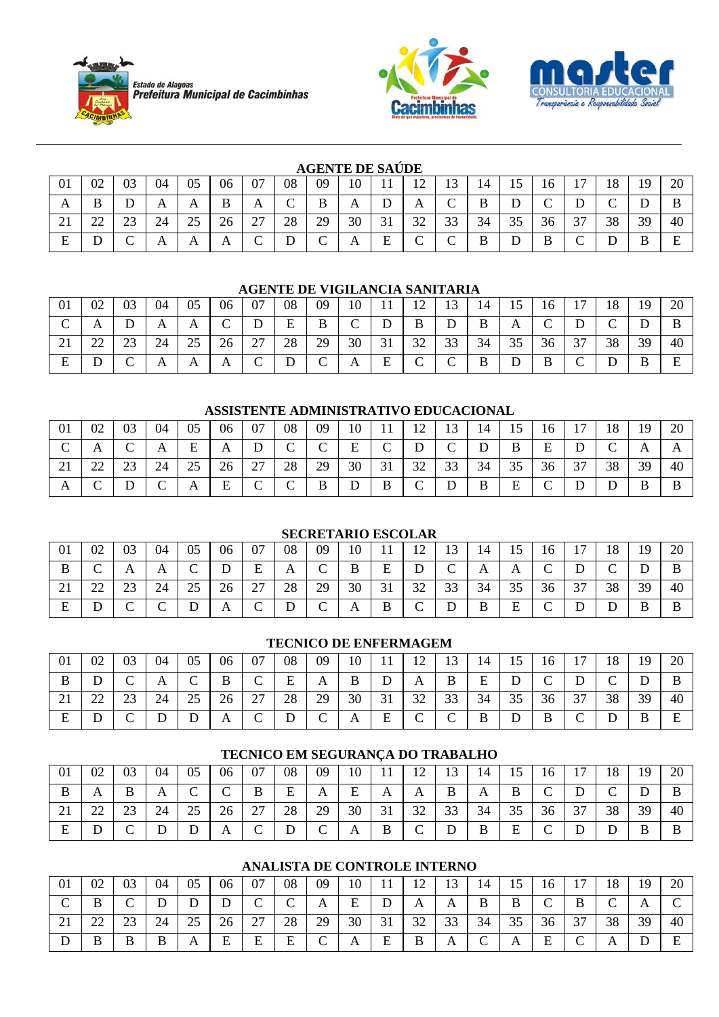





## **AGENTE DE SAÚDE**

| -01 | 02          | 03       | 04 | 05           | 06 | 07 | 08     | 09 | 10 | . .              | 12<br>$\overline{1}$ | 12<br>19   | 14 | 15 | 16 | 17<br>$\perp$ | 18 | 19 | 20 |
|-----|-------------|----------|----|--------------|----|----|--------|----|----|------------------|----------------------|------------|----|----|----|---------------|----|----|----|
| A   | ມ           | D        | A  | $\Delta$     | B  | А  | ⌒<br>◡ | B  | A  | ◡                | A                    | $\sqrt{ }$ | B  | D  | ◡  | ◡             | ◡  | ◡  | B  |
|     | $\cap$<br>∸ | つつ<br>رے | 24 | 25           | 26 | 27 | 28     | 29 | 30 | $\bigcap$ 1<br>◡ | 32                   | 33         | 34 | 35 | 36 | 37            | 38 | 39 | 40 |
| F   | ້           | ◡        | A  | $\mathbf{r}$ | A  | ◡  | ◡      | ◡  | A  | E                | $\sim$<br>◡          |            | B  | D  | B  | ◡             | ╜  | B  | E  |

#### **AGENTE DE VIGILANCIA SANITARIA**

| 01 | 02                  | 03 | 04 | 05             | 06          | 07                          | 08 | 09 | 10              | . . | $1^{\circ}$<br>┸ | 12 | 14 | 1J | 16 | 17<br>$\perp$ | 18 | 19 | 20 |
|----|---------------------|----|----|----------------|-------------|-----------------------------|----|----|-----------------|-----|------------------|----|----|----|----|---------------|----|----|----|
| ◡  |                     | ◡  |    |                | $\check{ }$ | ◡                           | E  | D  | $\sqrt{ }$<br>◡ | ◡   | B                |    | B  | A  |    | ◡             |    |    | B  |
| 21 | $\cap$<br><u>__</u> | 23 | 24 | つく<br>$\Delta$ | 26          | $\mathcal{L}$<br>$\angle$ 1 | 28 | 29 | 30              | 31  | 32               | 33 | 34 | 35 | 36 | 37            | 38 | 39 | 40 |
| ∸  | ע                   | ◡  |    | $\overline{1}$ | A           |                             | ◡  | ◡  | A               | E   | ◡                | ⌒  | B  | ◡  | B  | $\sim$<br>◡   | ◡  |    | E  |

## **ASSISTENTE ADMINISTRATIVO EDUCACIONAL**

| 01         | 02        | 03 | 04 | 05       | 06 | 07                          | 08         | 09 | 10 | . .        | $1 \Omega$<br><b>I</b> 4 | ⊥⊃         | 14 | 15 | 16 | 17 | 18 | 19 | 20 |
|------------|-----------|----|----|----------|----|-----------------------------|------------|----|----|------------|--------------------------|------------|----|----|----|----|----|----|----|
| ◡          |           | ◡  |    | ∸        | A  | ◡                           | ◡          |    | E  | $\sqrt{ }$ |                          | $\sqrt{ }$ | D  | B  | ∸  | ້  |    | A  |    |
| $\angle 1$ | <u>__</u> | 23 | 24 | つく<br>رے | 26 | $\mathcal{L}$<br>$\angle$ 1 | 28         | 29 | 30 | 31         | 32                       | 33         | 34 | 35 | 36 | 37 | 38 | 39 | 40 |
| A          | $\sim$    |    |    | A        | Ε  | $\sqrt{ }$                  | $\sqrt{ }$ | B  | ⊅  | B          | $\sim$<br>◡              | ┚          | B  | E  | ◡  | v  |    |    | B  |

## **SECRETARIO ESCOLAR**

| -01 | 02       | 03 | 04 | 05 | 06 | 07     | 08     | 09       | 10 | $\bf{1}$ | 12<br>$\overline{1}$ | 13<br>1J      | 14 | 15 | 16 | 17 | 18     | 19 | 20 |
|-----|----------|----|----|----|----|--------|--------|----------|----|----------|----------------------|---------------|----|----|----|----|--------|----|----|
|     |          |    |    |    | D  | E      | A      | $\Gamma$ | B  | E        | <sup>n</sup>         | $\Gamma$<br>◡ | A  | A  | ◡  |    | $\sim$ |    | B  |
|     | າາ<br>__ | 23 | 24 | 25 | 26 | 27     | 28     | 29       | 30 | 31       | 32                   | 33            | 34 | 35 | 36 | 37 | 38     | 39 | 40 |
|     |          | ◡  |    |    | A  | $\sim$ | D<br>◡ |          | A  | B        |                      |               | B  | E  |    | ν. | ν      |    | B  |

## **TECNICO DE ENFERMAGEM**

| 01       | 02                  | 03              | 04 | 05 | 06 | 07                       | 08 | 09             | 10 |    |                 | 1 J           |    | 15                    | 10 | ╺             | 18 | 19 | 20             |
|----------|---------------------|-----------------|----|----|----|--------------------------|----|----------------|----|----|-----------------|---------------|----|-----------------------|----|---------------|----|----|----------------|
| D        |                     | ◡               |    |    | В  |                          | E  | $\overline{1}$ | D  | ◡  | A               |               | ┮  |                       |    |               |    |    |                |
| $\sim$ 1 | $\sim$<br><u>__</u> | ΩΩ              | 24 | ر_ | 26 | $\mathbin{\lnot}$<br>ا ت | 28 | 29             | 30 | JІ | $\Omega$<br>ىمە | $\cap$<br>ر ر | 34 | $\cap$ $\vdash$<br>33 | 36 | $\sim$<br>ر د | 38 | 39 | 40             |
|          | P                   | $\sqrt{ }$<br>◡ | IJ |    |    | ⌒                        | ້  | ◡              |    | F  |                 |               | ≖  | ◡                     | D  |               | ◡  |    | $\blacksquare$ |

## **TECNICO EM SEGURANÇA DO TRABALHO**

| 01       | 02 | 03  | 04 | 05                     | 06              | 07                          | 08 | 09 | 10           | . . | $1^{\circ}$     | $1^{\circ}$<br>⊥ັ | 14 | IJ | 16 | 17<br><b>1</b> | 18 | 19 | 20 |
|----------|----|-----|----|------------------------|-----------------|-----------------------------|----|----|--------------|-----|-----------------|-------------------|----|----|----|----------------|----|----|----|
| D        |    | B   | A  |                        | $\sqrt{ }$<br>◡ | B                           | E  | A  | Ε            | А   |                 | B                 | A  | B  |    |                |    |    |    |
| $\angle$ | __ | ر ے |    | $\cap$ $\subset$<br>رے | 26              | $\mathcal{L}$<br>$\angle$ 1 | 28 | 29 | 30           | 31  | 22<br>ے ر       | 33                | 34 | 35 | 36 | 37             | 38 | 39 | 40 |
| ∸        | ◡  | ◡   | ້  | ◡                      | A               | $\sim$<br>◡                 | ◡  |    | $\mathbf{L}$ | B   | $\sqrt{ }$<br>◡ | ┚                 | B  | E  | ◡  | ້              |    |    |    |

**ANALISTA DE CONTROLE INTERNO** 

| 01       | 02          | 03              | 04 | 05 | 06 | 07     | 08     | 09       | 10     | $\mathbf{r}$      | 12<br>$\perp$ | 13 | 14 | 15 | 16          | 17<br>. . | 18 | 19 | 20 |
|----------|-------------|-----------------|----|----|----|--------|--------|----------|--------|-------------------|---------------|----|----|----|-------------|-----------|----|----|----|
| ◡        |             | $\sqrt{ }$<br>◡ | D  | ⊅  | D  | ⌒<br>◡ | ⌒<br>◡ | $\Delta$ | F<br>∸ | ◡                 | A             | A  | B  | B  | $\sim$<br>◡ | В         | ◡  | A  |    |
| $\sim$ 1 | $\cap$<br>∸ | 23              | 24 | 25 | 26 | 27     | 28     | 29       | 30     | $\bigcap$ 1<br>JI | 32            | 33 | 34 | 35 | 36          | 37        | 38 | 39 | 40 |
| D        | D           | B               | B  | A  | Ε  | E      | E      | ◡        |        | E                 | D             | A  | ◡  | A  | ᠇<br>E      | 〜         |    | ◡  | E  |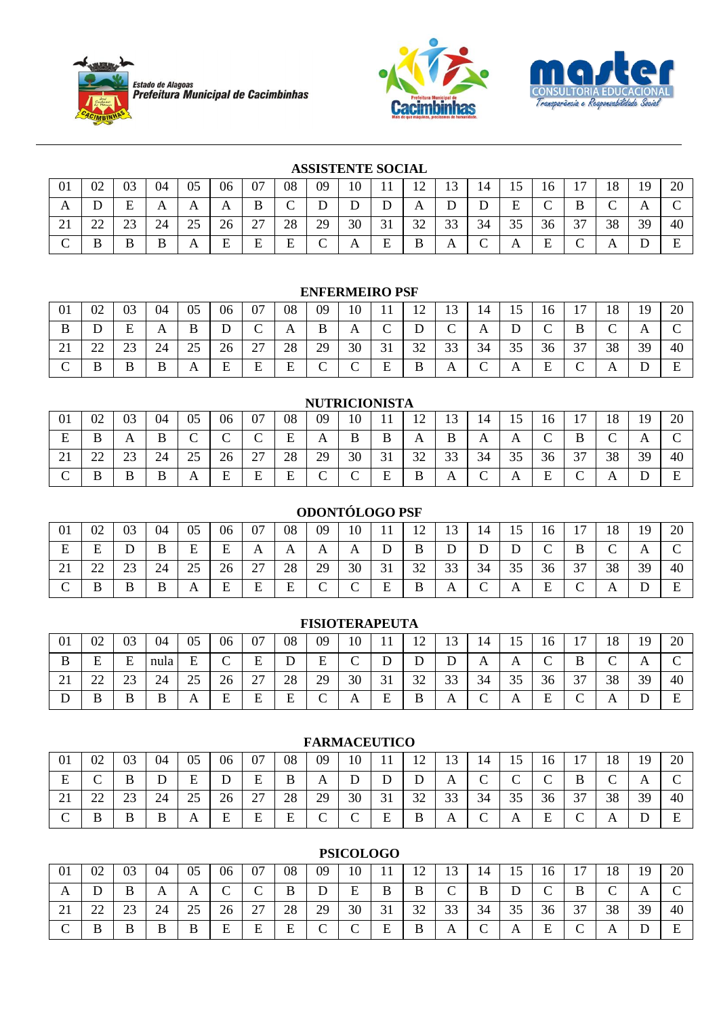





## **ASSISTENTE SOCIAL**

| 01 | 02          | 03 | 04 | 05           | 06 | 07 | 08 | 09 | 10 |   | $1^{\circ}$<br>┸ | 13 | 14     | 15           | 16                       | 1 <sub>7</sub><br>л., | 18       | 10 | 20        |
|----|-------------|----|----|--------------|----|----|----|----|----|---|------------------|----|--------|--------------|--------------------------|-----------------------|----------|----|-----------|
| A  |             |    | А  |              |    | B  | ⌒  |    | ້  |   |                  |    | P      | Е            | $\overline{\phantom{0}}$ | B                     | ◡        |    | ◡         |
| ◢  | $\cap$<br>∼ | رے | 24 | 25<br>رے     | 26 | 27 | 28 | 29 | 30 | ◡ | 32<br>ىر         | 33 | 34     | 35           | 36                       | 37                    | 38       | 39 | 40        |
| ◡  | B           | B  | B  | $\mathbf{r}$ | F  | E  | E  | ◡  |    | E | B                |    | ⌒<br>֊ | $\mathbf{A}$ | E<br>∸                   | ◡                     | $\Gamma$ | ້  | <b>TI</b> |

## **ENFERMEIRO PSF**

| 01       | 02           | 03 | 04 | 05       | 06                | 07                 | 08           | 09              | 10              |                  | $1^{\circ}$<br><b>I</b> $\sim$ | 12     | 14                        | ⊥J | 16 | 17<br><b>L</b> | 18 | 19 | 20     |
|----------|--------------|----|----|----------|-------------------|--------------------|--------------|-----------------|-----------------|------------------|--------------------------------|--------|---------------------------|----|----|----------------|----|----|--------|
| B        | ້            | E  | А  | B        | <sub>D</sub><br>◡ | ⌒<br>◡             | $\mathbf{L}$ | B               | A               | ⌒<br>◡           |                                | ⌒<br>֊ | $\boldsymbol{\mathsf{A}}$ | ◡  | ◡  | D<br>D.        |    |    | $\sim$ |
| $\sim$ 1 | $\sim$<br>__ | 23 | 24 | 25<br>رے | 26                | $\sim$<br>$\sim$ 1 | 28           | 29              | 30              | $\bigcap$ 1<br>◡ | 32<br>ىر                       | 33     | 34                        | 35 | 36 | 37             | 38 | 39 | 40     |
| ◡        | B            | B  | B  | A        | E                 | E                  | Г.<br>تعل    | $\sqrt{ }$<br>◡ | $\sqrt{ }$<br>◡ | E                | B                              | A      | $\sqrt{ }$<br>◡           | A  | E  | ◡              | A  | ◡  | E      |

|    |                                                                                                                                                                                                           |    |        |                           |        |                      |    | <b>NUTRICIONISTA</b> |    |        |                  |                |    |                            |        |                               |    |    |    |
|----|-----------------------------------------------------------------------------------------------------------------------------------------------------------------------------------------------------------|----|--------|---------------------------|--------|----------------------|----|----------------------|----|--------|------------------|----------------|----|----------------------------|--------|-------------------------------|----|----|----|
| 01 | 07<br>08<br>20<br>05<br>09<br>02<br>03<br>10<br>$\overline{ }$<br>18<br>$1 \cap$<br>06<br>-<br>9<br>04<br>15<br>14<br>$10^{-7}$<br>ل 1<br>∸<br>$\sqrt{ }$<br>$\sqrt{ }$<br>⌒<br>$\sqrt{2}$<br>$\sim$<br>D |    |        |                           |        |                      |    |                      |    |        |                  |                |    |                            |        |                               |    |    |    |
| Е  |                                                                                                                                                                                                           | A  | B      |                           | ີ      |                      | E  | Α                    | R  |        | A                | B              | A  | A                          |        |                               |    |    |    |
| ∠⊥ | $\cap$<br>∼                                                                                                                                                                                               | ΩΩ | 24     | つぐ<br>رے                  | 26     | $\mathcal{L}$<br>ا ک | 28 | 29                   | 30 |        | $2^{\circ}$<br>◡ | $\Omega$<br>33 | 34 | $\sim$ $\sim$<br>≺∽<br>ت ب | 36     | $\sim$                        | 38 | 39 | 40 |
|    | ם<br>D                                                                                                                                                                                                    | B  | ה<br>D | $\boldsymbol{\mathsf{A}}$ | Е<br>c | E                    | E  |                      |    | Е<br>∸ | B                | A              | ⌒  | $\Delta$                   | Ð<br>∸ | $\overline{\phantom{0}}$<br>◡ | A  |    | E  |

|    |        |    |    |         |    |                      |        |    | <b>ODONTÓLOGO PSF</b> |                 |                |    |                 |    |                           |                          |    |          |    |
|----|--------|----|----|---------|----|----------------------|--------|----|-----------------------|-----------------|----------------|----|-----------------|----|---------------------------|--------------------------|----|----------|----|
| 01 | 02     | 03 | 04 | 05      | 06 | 07                   | 08     | 09 | 10                    |                 |                |    | 14              | 15 | 16                        |                          | 18 | ۰Q       | 20 |
| E  | F      |    |    | E       | Е  | A                    | A      |    | A                     |                 |                |    | D               | D  | $\sim$                    | В                        | ⌒  | $\Delta$ |    |
| ∠⊥ | $\cap$ | nη | 24 | つら<br>ن | 26 | $\mathcal{L}$<br>ا ک | 28     | 29 | 30                    | $\overline{21}$ | $\mathfrak{D}$ | 33 | 34              | 35 | 36                        | 37                       | 38 | 39       | 40 |
|    | B      |    | B  | A       | E  | E                    | E<br>⊷ |    | ⌒                     | F               | R<br>D         | A  | $\sqrt{ }$<br>◡ | A  | $\Gamma$<br>н<br><u>ь</u> | $\overline{\phantom{0}}$ |    |          |    |

| 01       | 02     | 03 | 04   | 05             | 06 | 07                   | 08                  | 09     | 10       | . .            | $1^{\circ}$ | ∸              | 14          | -<br>⊥ັ                | ╭<br>10      | $1 -$         | 18             | 1 Q | 20                       |
|----------|--------|----|------|----------------|----|----------------------|---------------------|--------|----------|----------------|-------------|----------------|-------------|------------------------|--------------|---------------|----------------|-----|--------------------------|
|          | F      | E  | nula | F              | ⌒  | F<br>ப               |                     | ᠇<br>н | ⌒<br>◡   | רז<br>◡        |             |                | A           | A                      | $\sim$       | D<br>D        | ⌒<br>◡         |     | $\overline{\phantom{0}}$ |
| $\sim$ 1 | $\sim$ | ົ  | 24   | nε<br>رے       | 26 | $\mathcal{L}$<br>ا ت | 28                  | 29     | 30       | $\sim$ 1<br>◡▴ | $\cap$      | 33             | 34          | 35                     | $\sim$<br>36 | $\sim$<br>ا ب | 38             | 39  | 40                       |
|          | ມ      | ⊥  |      | $\overline{1}$ | E  | E                    | $\blacksquare$<br>∸ |        | $\Gamma$ | ┳<br>∸         | ၪ           | $\overline{1}$ | $\sim$<br>◡ | $\mathbf{\mathcal{L}}$ | −<br>∸       | ◡             | $\overline{1}$ | ້   | ᠇                        |

|    |                                          |                                  |          |               |         |                           |    | <b>FARMACEUTICO</b> |             |    |                       |                   |                 |                 |               |                            |    |    |    |
|----|------------------------------------------|----------------------------------|----------|---------------|---------|---------------------------|----|---------------------|-------------|----|-----------------------|-------------------|-----------------|-----------------|---------------|----------------------------|----|----|----|
| 01 | 02                                       | 03                               | 04       | 05            | 06      | 07                        | 08 | 09                  | 10          |    | 12                    | $1^{\circ}$<br>⊥ື | 14              | 15              | .6            | ╺                          | 18 | 19 | 20 |
| E  |                                          |                                  |          | E             | T.<br>ັ | E                         | B  |                     |             | ⊥  |                       | A                 | $\sqrt{ }$<br>◡ | $\sqrt{ }$<br>◡ |               | B                          | ◡  | A  |    |
| ′′ | $\mathbf{A}$<br>$\overline{\phantom{a}}$ | $\mathbin{\lhd} \mathbin{\land}$ | 24<br>∠⊣ | $\gamma$<br>ت | 26      | $\mathcal{L}$<br>$\sim$ 1 | 28 | 29                  | 30          | 31 | $\mathfrak{D}$<br>ے ر | 33                | 34              | 25<br>ر ر       | 36            | $\sim$<br>$\mathfrak{I}$ . | 38 | 30 | 40 |
| J. | B                                        |                                  |          | A             | E       | E                         | Е  |                     | $\sim$<br>◡ | E  | B                     | A                 | $\sqrt{ }$<br>◟ | А               | <b>D</b><br>ы | 〜                          |    |    | E  |

## **PSICOLOGO**

| 01 | 02              | 03 | 04 | 05 | 06              | 07              | 08 | 09 | 10 | 1 I | $1^{\circ}$<br>┸ | $1^{\circ}$<br>⊥⊃ | 14              | 15 | 16     | 17     | 18       | 19           | 20 |
|----|-----------------|----|----|----|-----------------|-----------------|----|----|----|-----|------------------|-------------------|-----------------|----|--------|--------|----------|--------------|----|
| A  | D               | B  | A  |    | $\sqrt{ }$<br>◡ | $\sqrt{ }$<br>◡ | B  | ◡  | Ε  | B   | B                | $\sqrt{ }$<br>◡   | B               | ι  | ◡      | B      |          | $\mathbf{A}$ |    |
| 21 | າາ<br><u>__</u> | 23 | 24 | 25 | 26              | 27              | 28 | 29 | 30 | 31  | 32               | 33                | 34              | 35 | 36     | 37     | 38       | 39           | 40 |
| ◡  | В               | B  | B  | B  | E               | E               | E  | ◡  | ◡  | E   | B                | A                 | $\sqrt{ }$<br>◡ | A  | F<br>∸ | ⌒<br>◡ | $\Delta$ |              | E  |

# **FARMACEUTICO**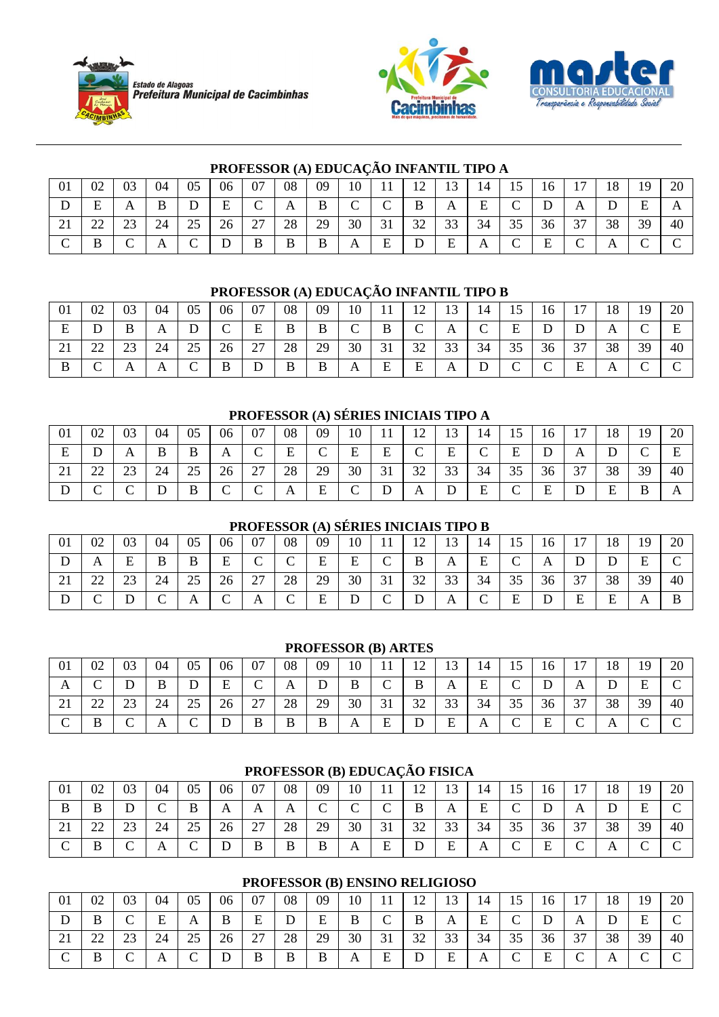





## **PROFESSOR (A) EDUCAÇÃO INFANTIL TIPO A**

| 01         | 02                  | 03 | 04 | 05       | 06 | 07              | 08 | 09 | 10              | . .             | $1^{\circ}$<br>∸ |    | 14 | 15              | 16 | 17<br><b>L</b> | 18             | 1Q | 20 |
|------------|---------------------|----|----|----------|----|-----------------|----|----|-----------------|-----------------|------------------|----|----|-----------------|----|----------------|----------------|----|----|
| D          | F                   | A  | B  | ◡        | E  | $\sqrt{ }$<br>◡ | A  | B  | $\sqrt{ }$<br>◡ | $\sqrt{ }$<br>◡ | B                | A  | E  | $\sqrt{ }$<br>◡ |    | $\mathbf{A}$   | ້              | E  |    |
| $\angle 1$ | $\cap$<br><u>__</u> | 23 | 24 | 25<br>رے | 26 | 27              | 28 | 29 | 30              | 31              | 32               | 33 | 34 | 35              | 36 | 37             | 38             | 39 | 40 |
| ◡          | B                   | ◡  | A  |          | ◡  | B               | B  | B  | A               | E               | D                | E  | A  | $\sqrt{ }$<br>◡ | E  | 〜              | $\overline{1}$ |    |    |

# **PROFESSOR (A) EDUCAÇÃO INFANTIL TIPO B**

| -01      | 02                 | 03       | 04 | 05       | 06     | 07                        | 08 | 09 | 10                        |    | 12<br>┸  | 13 | 14     | 15          | 16          | 17                    | 18 | 19 | 20          |
|----------|--------------------|----------|----|----------|--------|---------------------------|----|----|---------------------------|----|----------|----|--------|-------------|-------------|-----------------------|----|----|-------------|
| E        | P                  | B        |    |          | ⌒<br>◡ | E                         | B  | B  | $\sqrt{ }$<br>◡           | B  |          | A  | ⌒<br>◡ | E           | ╜           | ◡                     | А  |    | E           |
| $\sim$ 1 | $\cap$<br><u>_</u> | 23       | 24 | 25<br>رے | 26     | $\mathcal{L}$<br>$\sim$ 1 | 28 | 29 | 30                        | 31 | 32<br>ىر | 33 | 34     | 35          | 36          | $\overline{2}$<br>، ب | 38 | 39 | 40          |
| D        | ◡                  | $\Delta$ | A  | ◡        | B      | D                         | D  | D. | $\boldsymbol{\mathsf{A}}$ | E  | E        | A  | ◡      | $\sim$<br>◡ | $\sim$<br>◡ | Ε                     | A  |    | $\sim$<br>◡ |

## **PROFESSOR (A) SÉRIES INICIAIS TIPO A**

| 01 | 02                  | 03              | 04 | 05         | 06          | 07              | 08 | 09          | 10 | . . | 12<br>∸         |          | 14              | 15              | 16 | 17 | 18 | 19 | 20 |
|----|---------------------|-----------------|----|------------|-------------|-----------------|----|-------------|----|-----|-----------------|----------|-----------------|-----------------|----|----|----|----|----|
| E  | ┚                   | A               | B  | B          | A           | $\sqrt{ }$<br>◡ | E  | $\sim$<br>◡ | E  | E   | $\sqrt{ }$<br>◡ | E<br>نلا | $\sqrt{ }$<br>◡ | E               |    | A  | ້  |    | E  |
| 21 | $\cap$<br><u>__</u> | 23              | 24 | 25<br>ں کے | 26          | 27              | 28 | 29          | 30 | 31  | 32              | 33       | 34              | 35              | 36 | 37 | 38 | 39 | 40 |
|    | $\sim$<br>◡         | $\sqrt{ }$<br>◡ | ◡  | B          | $\sim$<br>◡ | $\sqrt{ }$<br>◡ | A  | E<br>ப      | ◡  | D   | A               | D        | E               | $\sqrt{ }$<br>◡ | E  | ◡  | E  | B  |    |

## **PROFESSOR (A) SÉRIES INICIAIS TIPO B**

| 01       | 02          | 03      | 04          | 05       | 06              | 07                 | 08              | 09 | 10 |                    | $\overline{1}$ | 13                  | 14     | 15                  | 16 | 17<br>$\perp$ | 18     | 19 | 20 |
|----------|-------------|---------|-------------|----------|-----------------|--------------------|-----------------|----|----|--------------------|----------------|---------------------|--------|---------------------|----|---------------|--------|----|----|
|          | A           | E       | B           | B        | Ε               | $\sim$             | $\sqrt{ }$<br>◡ | E  | Ε  | $\sim$             |                | А                   | E      | ◡                   |    |               | D      | E. |    |
| $\sim$ 1 | $\sim$<br>∼ | ົ<br>رے | 24          | 25       | 26              | $\sim$<br>$\sim$ 1 | 28              | 29 | 30 | $^{\circ}$ 1<br>51 | 32<br>ىر       | $\mathcal{L}$<br>33 | 34     | $\sim$ $\sim$<br>35 | 30 | $\sim$<br>JI  | 38     | 39 | 40 |
|          | 〜           | ◡       | $\sim$<br>◡ | $\Delta$ | $\sqrt{ }$<br>◡ | A                  | ◡               | E  | ◡  | ◡                  | ້              | $\mathbf A$         | ⌒<br>◡ | F<br>∸              | ◡  | ᠇<br>ىد       | Е<br>∸ |    | В  |

## **PROFESSOR (B) ARTES**

| 01       | 02      | 03       | 04 | 05 | 06 | 07             | 08 | 09 | 10 | 11                | $1^{\circ}$<br>-- | ⊥⊃     | 14 | 15              | 16 | 17 | 18           | 10 | 20 |
|----------|---------|----------|----|----|----|----------------|----|----|----|-------------------|-------------------|--------|----|-----------------|----|----|--------------|----|----|
| A        |         | D        | B  |    | E  | ◡              | A  | ◡  | B  | $\sqrt{ }$<br>◡   | B                 | A      | Ε  | $\sqrt{ }$<br>◡ |    |    |              | F. |    |
| $\sim$ 1 | nη<br>∸ | つつ<br>رے | 24 | رے | 26 | 27<br>$\sim$ 1 | 28 | 29 | 30 | $\bigcap$ 1<br>JІ | 32<br>ىر          | 33     | 34 | 35              | 36 | 37 | 38           | 39 | 40 |
| ◡        | υ       | ◡        | A  | ◡  | ע  | B              | B  | B  | A  | ${\bf E}$         | D                 | E<br>∸ | A  | $\sim$<br>◡     | E  | 〜  | $\mathbf{L}$ |    |    |

## **PROFESSOR (B) EDUCAÇÃO FISICA**

| -01      | 02     | 03              | 04 | 05     | 06 | 07 | 08 | 09              | 10              | . .           | 12<br>∸ | 13 | 14 | 15     | 16 | 17     | 18       | 19      | 20 |
|----------|--------|-----------------|----|--------|----|----|----|-----------------|-----------------|---------------|---------|----|----|--------|----|--------|----------|---------|----|
| B        | В      | ◡               | ◡  | B      | A  | A  | A  | $\sqrt{ }$<br>◡ | $\sqrt{ }$<br>◡ | $\Gamma$<br>◡ | B       | A  | E  | ◡      | ◡  | A      | D        | E.<br>∸ |    |
| $\sim$ 1 | ົ<br>∸ | 23              | 24 | 25     | 26 | 27 | 28 | 29              | 30              | 31            | 32      | 33 | 34 | 35     | 36 | 37     | 38       | 39      | 40 |
| ◡        | B      | $\sqrt{ }$<br>◡ | A  | $\sim$ | D  | B  | B  | B               | A               | E             |         | E  | A  | ⌒<br>◡ | E  | ⌒<br>◡ | $\Delta$ |         |    |

## **PROFESSOR (B) ENSINO RELIGIOSO**

| 01       | 02      | 03          | 04 | 05                     | 06 | 07                   | 08 | 09 | 10           | . .                           | $1^{\circ}$<br><b>I</b> $\sim$ | $1^{\circ}$<br><b>L</b> | 14           | $\overline{ }$<br>⊥J    | 16     | 17<br>$\perp$ | 18       | 19      | 20              |
|----------|---------|-------------|----|------------------------|----|----------------------|----|----|--------------|-------------------------------|--------------------------------|-------------------------|--------------|-------------------------|--------|---------------|----------|---------|-----------------|
| D        | ၪ       | $\sim$<br>◡ | E  | A                      | B  | E                    | D  | E  | B            | $\sim$<br>◡                   | B                              | A                       | E            | $\curvearrowright$<br>◡ | ╜      | $\Delta$      | ◡        | E.<br>∸ | $\sqrt{ }$<br>◡ |
| $\sim$ 1 | ົ<br>-- | 23          | 24 | $\cap$ $\subset$<br>رے | 26 | $\cap$<br>$\angle$ 1 | 28 | 29 | 30           | $\bigcap$ 1<br>$\mathfrak{I}$ | 32<br>ىر                       | 33                      | 34           | 35                      | 36     | $\sim$<br>ا ب | 38       | 39      | 40              |
| 〜        | ມ       | ◡           | A  |                        | ້  | B                    | D. | υ  | $\mathbf{A}$ | E                             | ້                              | E                       | $\mathbf{A}$ | ◡                       | Е<br>∸ | ◡             | $\Delta$ | ◡       |                 |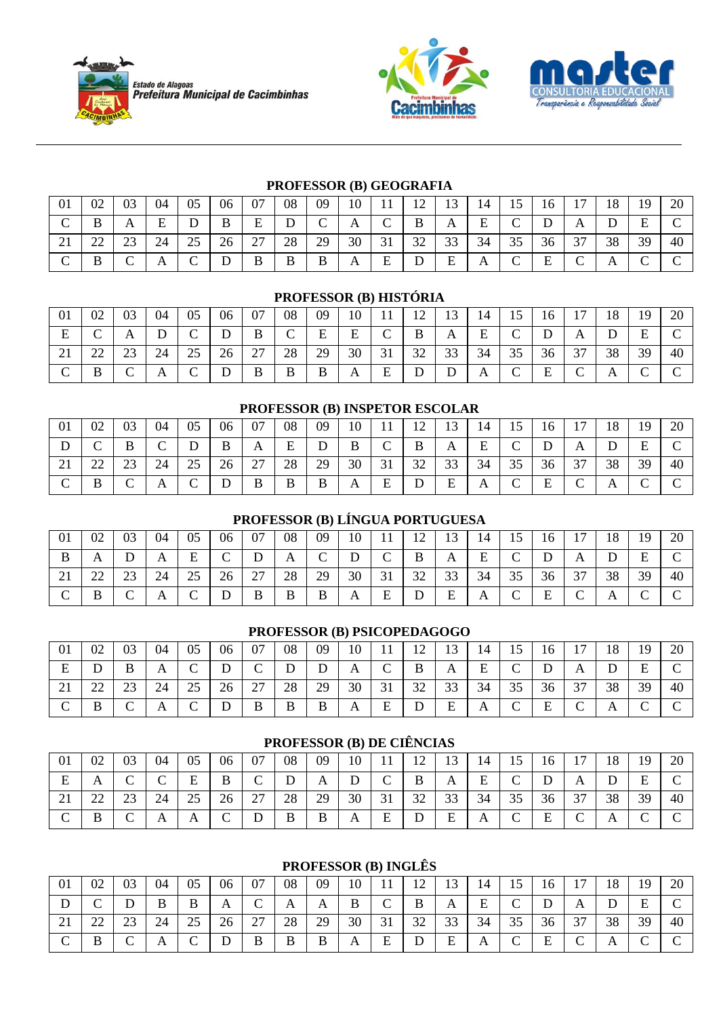





## **PROFESSOR (B) GEOGRAFIA**

| 01       | 02          | 03              | 04                        | 05          | 06 | 07 | 08 | 09 | 10 | . .             | 12                | 13 | 14 | 15         | 16 | $1 -$ | 18       | 19 | 20     |
|----------|-------------|-----------------|---------------------------|-------------|----|----|----|----|----|-----------------|-------------------|----|----|------------|----|-------|----------|----|--------|
| ◡        |             | A               | E                         |             | B  | E  | D  | ◡  | A  | $\sqrt{ }$<br>◡ | B                 | A  | Ε  | $\sqrt{ }$ | ້  |       | ┚        | E  | $\sim$ |
| $\sim$ 1 | $\cap$<br>∸ | $\cap$<br>رے    | 24                        | つぐ<br>ر 2   | 26 | 27 | 28 | 29 | 30 | 21<br>IJ        | 32<br>ے ب         | 33 | 34 | 35         | 36 | 37    | 38       | 39 | 40     |
|          | B           | $\sqrt{ }$<br>◡ | $\boldsymbol{\mathsf{A}}$ | $\sim$<br>◡ | D  | B  | B  | B  | A  | E               | <sub>D</sub><br>◡ | E  | A  | ◡          | E  | ◡     | $\Delta$ | ◡  |        |

## **PROFESSOR (B) HISTÓRIA**

| 01       | 02          | 03       | 04 | 05                       | 06 | 07                        | 08 | 09 | 10 | $\mathbf{1}$    | $1^{\circ}$<br>$\overline{1}$ | 12<br>1 J | 14 | 15     | 16 | 17<br>$\perp$ | 18       | 19      | 20 |
|----------|-------------|----------|----|--------------------------|----|---------------------------|----|----|----|-----------------|-------------------------------|-----------|----|--------|----|---------------|----------|---------|----|
| c        | ◡           | $\Delta$ | ້  |                          | ◡  | B                         | ◡  | E  | E  | $\sqrt{ }$<br>◡ | B                             | A         | E  | ⌒<br>◡ | ◡  | $\Gamma$      | ◡        | F.<br>∸ |    |
| $\sim$ 1 | $\sim$<br>∸ | 23       | 24 | 25                       | 26 | $\mathcal{L}$<br>$\sim$ 1 | 28 | 29 | 30 | 31              | 32<br>ے ر                     | 33        | 34 | 35     | 36 | 27<br>ا پ     | 38       | 39      | 40 |
| ◡        | B           | ◡        | A  | $\overline{\phantom{0}}$ | ◡  | B                         | B  | B  | A  | E               | ◡                             | P         | A  | ◡      | E  | ◡             | $\Delta$ |         |    |

## **PROFESSOR (B) INSPETOR ESCOLAR**

| -01      | 02           | 03 | 04              | 05         | 06 | 07                   | 08                | 09 | 10 | . .             | 12<br>∸ | 12<br>⊥⊃ | 14 | ⊥J     | 16 | 17           | 18       | 19 | 20     |
|----------|--------------|----|-----------------|------------|----|----------------------|-------------------|----|----|-----------------|---------|----------|----|--------|----|--------------|----------|----|--------|
|          | ◡            | B  | $\sqrt{ }$<br>֊ | ້          | B  | A                    | $\mathbf{F}$<br>ப | ◡  | B  | $\sqrt{ }$<br>◡ | B       | A        | E  | ⌒<br>◡ | ◡  | $\mathbf{A}$ | ◡        | ∸  | $\sim$ |
| $\sim$ 1 | $\sim$<br>__ | 23 | 24              | 25<br>ں کے | 26 | $\mathcal{L}$<br>ا ت | 28                | 29 | 30 | 31              | 32      | 33       | 34 | 35     | 36 | 37           | 38       | 39 | 40     |
| ◡        | B            | ◡  | A               | $\sim$     | ◡  | B                    | D<br>D            | D  | A  | E               | ν       | E        | A  | ⌒<br>◡ | E  | ⌒<br>〜       | $\Gamma$ | 〜  |        |

## **PROFESSOR (B) LÍNGUA PORTUGUESA**

| 01 | 02 | 03      | 04 | 05                    | 06              | 07                 | 08 | 09          | 10                        | . .         | 12<br>┸   | 12<br>LJ. | 14       | 15                  | 16 | 1 <sub>7</sub><br>$\perp$ | 18           | 19 | 20 |
|----|----|---------|----|-----------------------|-----------------|--------------------|----|-------------|---------------------------|-------------|-----------|-----------|----------|---------------------|----|---------------------------|--------------|----|----|
| B  |    |         |    | E                     | $\sqrt{ }$<br>◡ | D                  | A  | $\sim$<br>◡ |                           | $\sim$<br>◡ |           | A         | E        | ⌒<br>◡              |    | $\Delta$                  | D            | E. |    |
| ◢  | __ | ົ<br>23 | 24 | $\cap \subset$<br>ر∠∟ | 26              | $\sim$<br>$\sim$ 1 | 28 | 29          | 30                        | 21<br>51    | 32<br>ے ر | 33        | 34       | $\sim$ $\sim$<br>35 | 36 | $\sim$<br>$\mathcal{I}$   | 38           | 39 | 40 |
| ◡  | B  | ◡       |    | $\sim$                | ◡               | D                  | D  | D           | $\boldsymbol{\mathsf{A}}$ | E           | ◡         | E         | $\Delta$ | ⌒<br>◡              | E  | ◡                         | $\mathbf{r}$ |    |    |

## **PROFESSOR (B) PSICOPEDAGOGO**

| -01      | 02          | 03          | 04 | 05        | 06 | 07                 | 08 | 09 | 10       | . .         | $1^{\circ}$<br>┸  | 12 | 14       | 15<br>⊥ັ | 16     | 17               | 18       | 19     | 20 |
|----------|-------------|-------------|----|-----------|----|--------------------|----|----|----------|-------------|-------------------|----|----------|----------|--------|------------------|----------|--------|----|
| E        |             | B           | A  |           | ⊥  | ◡                  | ע  | ע  | A        | $\sim$<br>◡ | B                 | A  | E        | ⌒<br>〜   | ◡      | $\boldsymbol{A}$ | ◡        | F<br>∸ |    |
| $\sim$ 1 | $\sim$<br>∼ | 23          | 24 | つく<br>ر∠∟ | 26 | $\cap$<br>$\sim$ 1 | 28 | 29 | 30       | 31          | 32                | 33 | 34       | 35       | 36     | $\sim$<br>J I    | 38       | 39     | 40 |
| ◡        | IJ          | $\sim$<br>◡ | A  | ◡         |    | B                  | B  | B  | $\Delta$ | E<br>نلا    | <sup>n</sup><br>◡ | E  | $\Delta$ | ⌒<br>◡   | Ē<br>н | ⌒<br>◡           | $\Delta$ |        |    |

## **PROFESSOR (B) DE CIÊNCIAS**

| 01       | 02       | 03            | 04     | 05                  | 06               | 07                 | 08      | 09       | 10           | . .        | $1^{\circ}$           | 1 <sub>2</sub><br>⊥ື | 14                        | $\leq$              | 16 | $\overline{ }$           | 18           | 19      | 20 |
|----------|----------|---------------|--------|---------------------|------------------|--------------------|---------|----------|--------------|------------|-----------------------|----------------------|---------------------------|---------------------|----|--------------------------|--------------|---------|----|
| Е<br>E.  |          | ◟             | $\sim$ | F                   | B                | $\sim$             | D.<br>◡ | $\Gamma$ | ◡            | $\sqrt{ }$ | D<br>൰                | A                    | Ε                         |                     |    |                          |              | F.<br>∸ |    |
| $\sim$ 1 | nη<br>__ | $\cap$<br>د،∠ | 24     | $\cap \subset$<br>ت | 26               | $\cap$<br>$\sim$ 1 | 28      | 29       | 30           | $-31$<br>ັ | $\mathfrak{D}$<br>ے ب | 33                   | 34                        | $\sim$ $\sim$<br>JJ | 36 | $\sim$<br>$\mathfrak{I}$ | 38           | 39      | 40 |
| ◡        | B        | ◡             | A      | $\mathbf{r}$        | ⌒<br>$\check{ }$ | ◡                  | D<br>D  | ս        | $\mathbf{L}$ | Ē<br>∸     |                       | F<br>∸               | $\boldsymbol{\mathsf{A}}$ | $\sqrt{ }$<br>◡     | E  | 〜                        | $\mathbf{A}$ |         |    |

**PROFESSOR (B) INGLÊS** 

| -01 |          | 03              | 04 | 05              | 06 | 07            | 08       | 09 | 10 |               | 12 | 13 | 14 | 15         | 16 | 17                                | 18 | 19 | 20 |
|-----|----------|-----------------|----|-----------------|----|---------------|----------|----|----|---------------|----|----|----|------------|----|-----------------------------------|----|----|----|
|     |          |                 | B  | B               |    | $\Gamma$<br>◡ | A        | A  | B  | $\Gamma$<br>◡ | B  | A  | E  | $\Gamma$   |    |                                   | D  | E  |    |
|     | nn.<br>∸ | 23              |    | 25              | 26 | 27            | 28       | 29 | 30 | $\mathbf{A}$  | 32 | 33 | 34 | 35         | 36 | $\gamma$ $\tau$<br>$\mathfrak{I}$ | 38 | 39 | 40 |
|     |          | $\sqrt{ }$<br>◡ | A  | $\sqrt{ }$<br>◡ | D  | B             | $\bf{B}$ | B  | A  | E             | D  | E  | A  | $\sqrt{ }$ | E  | ◡                                 | A  |    |    |